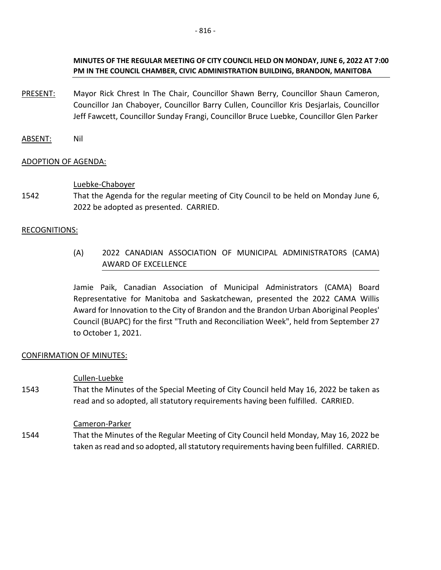## **MINUTES OF THE REGULAR MEETING OF CITY COUNCIL HELD ON MONDAY, JUNE 6, 2022 AT 7:00 PM IN THE COUNCIL CHAMBER, CIVIC ADMINISTRATION BUILDING, BRANDON, MANITOBA**

- PRESENT: Mayor Rick Chrest In The Chair, Councillor Shawn Berry, Councillor Shaun Cameron, Councillor Jan Chaboyer, Councillor Barry Cullen, Councillor Kris Desjarlais, Councillor Jeff Fawcett, Councillor Sunday Frangi, Councillor Bruce Luebke, Councillor Glen Parker
- ABSENT: Nil

## ADOPTION OF AGENDA:

## Luebke-Chaboyer

1542 That the Agenda for the regular meeting of City Council to be held on Monday June 6, 2022 be adopted as presented. CARRIED.

## RECOGNITIONS:

(A) 2022 CANADIAN ASSOCIATION OF MUNICIPAL ADMINISTRATORS (CAMA) AWARD OF EXCELLENCE

Jamie Paik, Canadian Association of Municipal Administrators (CAMA) Board Representative for Manitoba and Saskatchewan, presented the 2022 CAMA Willis Award for Innovation to the City of Brandon and the Brandon Urban Aboriginal Peoples' Council (BUAPC) for the first "Truth and Reconciliation Week", held from September 27 to October 1, 2021.

## CONFIRMATION OF MINUTES:

## Cullen-Luebke

1543 That the Minutes of the Special Meeting of City Council held May 16, 2022 be taken as read and so adopted, all statutory requirements having been fulfilled. CARRIED.

## Cameron-Parker

1544 That the Minutes of the Regular Meeting of City Council held Monday, May 16, 2022 be taken as read and so adopted, all statutory requirements having been fulfilled. CARRIED.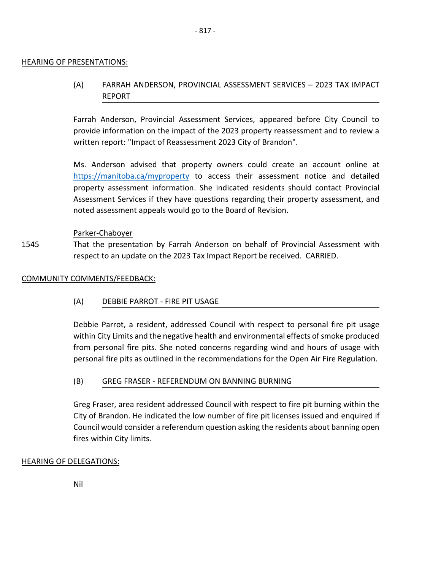### HEARING OF PRESENTATIONS:

# (A) FARRAH ANDERSON, PROVINCIAL ASSESSMENT SERVICES – 2023 TAX IMPACT REPORT

Farrah Anderson, Provincial Assessment Services, appeared before City Council to provide information on the impact of the 2023 property reassessment and to review a written report: "Impact of Reassessment 2023 City of Brandon".

Ms. Anderson advised that property owners could create an account online at <https://manitoba.ca/myproperty> to access their assessment notice and detailed property assessment information. She indicated residents should contact Provincial Assessment Services if they have questions regarding their property assessment, and noted assessment appeals would go to the Board of Revision.

### Parker-Chaboyer

1545 That the presentation by Farrah Anderson on behalf of Provincial Assessment with respect to an update on the 2023 Tax Impact Report be received. CARRIED.

### COMMUNITY COMMENTS/FEEDBACK:

## (A) DEBBIE PARROT - FIRE PIT USAGE

Debbie Parrot, a resident, addressed Council with respect to personal fire pit usage within City Limits and the negative health and environmental effects of smoke produced from personal fire pits. She noted concerns regarding wind and hours of usage with personal fire pits as outlined in the recommendations for the Open Air Fire Regulation.

## (B) GREG FRASER - REFERENDUM ON BANNING BURNING

Greg Fraser, area resident addressed Council with respect to fire pit burning within the City of Brandon. He indicated the low number of fire pit licenses issued and enquired if Council would consider a referendum question asking the residents about banning open fires within City limits.

## HEARING OF DELEGATIONS:

Nil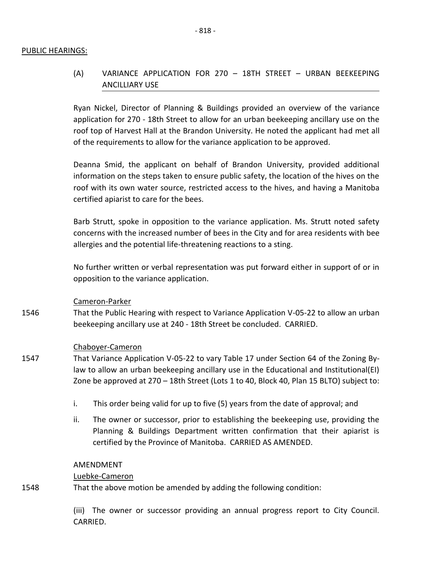### PUBLIC HEARINGS:

# (A) VARIANCE APPLICATION FOR 270 – 18TH STREET – URBAN BEEKEEPING ANCILLIARY USE

Ryan Nickel, Director of Planning & Buildings provided an overview of the variance application for 270 - 18th Street to allow for an urban beekeeping ancillary use on the roof top of Harvest Hall at the Brandon University. He noted the applicant had met all of the requirements to allow for the variance application to be approved.

Deanna Smid, the applicant on behalf of Brandon University, provided additional information on the steps taken to ensure public safety, the location of the hives on the roof with its own water source, restricted access to the hives, and having a Manitoba certified apiarist to care for the bees.

Barb Strutt, spoke in opposition to the variance application. Ms. Strutt noted safety concerns with the increased number of bees in the City and for area residents with bee allergies and the potential life-threatening reactions to a sting.

No further written or verbal representation was put forward either in support of or in opposition to the variance application.

### Cameron-Parker

1546 That the Public Hearing with respect to Variance Application V-05-22 to allow an urban beekeeping ancillary use at 240 - 18th Street be concluded. CARRIED.

## Chaboyer-Cameron

- 1547 That Variance Application V-05-22 to vary Table 17 under Section 64 of the Zoning Bylaw to allow an urban beekeeping ancillary use in the Educational and Institutional(EI) Zone be approved at 270 – 18th Street (Lots 1 to 40, Block 40, Plan 15 BLTO) subject to:
	- i. This order being valid for up to five (5) years from the date of approval; and
	- ii. The owner or successor, prior to establishing the beekeeping use, providing the Planning & Buildings Department written confirmation that their apiarist is certified by the Province of Manitoba. CARRIED AS AMENDED.

### AMENDMENT

### Luebke-Cameron

1548 That the above motion be amended by adding the following condition:

> (iii) The owner or successor providing an annual progress report to City Council. CARRIED.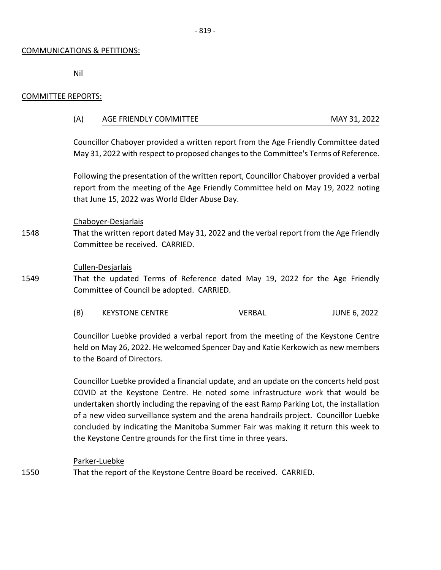### COMMUNICATIONS & PETITIONS:

Nil

### COMMITTEE REPORTS:

| (A) | AGE FRIENDLY COMMITTEE | MAY 31, 2022 |  |
|-----|------------------------|--------------|--|
|     |                        |              |  |

Councillor Chaboyer provided a written report from the Age Friendly Committee dated May 31, 2022 with respect to proposed changes to the Committee's Terms of Reference.

Following the presentation of the written report, Councillor Chaboyer provided a verbal report from the meeting of the Age Friendly Committee held on May 19, 2022 noting that June 15, 2022 was World Elder Abuse Day.

### Chaboyer-Desjarlais

1548 That the written report dated May 31, 2022 and the verbal report from the Age Friendly Committee be received. CARRIED.

### Cullen-Desjarlais

1549 That the updated Terms of Reference dated May 19, 2022 for the Age Friendly Committee of Council be adopted. CARRIED.

(B) KEYSTONE CENTRE VERBAL JUNE 6, 2022

Councillor Luebke provided a verbal report from the meeting of the Keystone Centre held on May 26, 2022. He welcomed Spencer Day and Katie Kerkowich as new members to the Board of Directors.

Councillor Luebke provided a financial update, and an update on the concerts held post COVID at the Keystone Centre. He noted some infrastructure work that would be undertaken shortly including the repaving of the east Ramp Parking Lot, the installation of a new video surveillance system and the arena handrails project. Councillor Luebke concluded by indicating the Manitoba Summer Fair was making it return this week to the Keystone Centre grounds for the first time in three years.

## Parker-Luebke

1550 That the report of the Keystone Centre Board be received. CARRIED.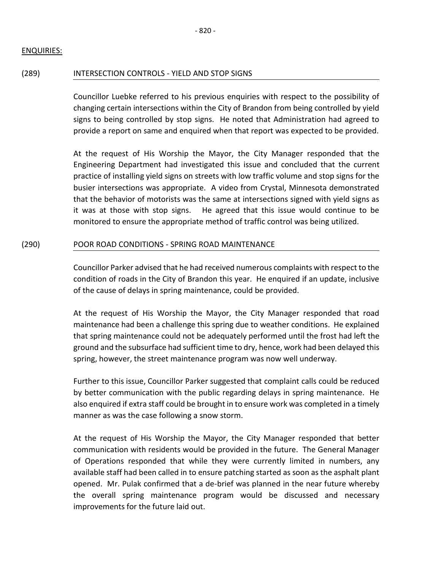## ENQUIRIES:

### (289) INTERSECTION CONTROLS - YIELD AND STOP SIGNS

Councillor Luebke referred to his previous enquiries with respect to the possibility of changing certain intersections within the City of Brandon from being controlled by yield signs to being controlled by stop signs. He noted that Administration had agreed to provide a report on same and enquired when that report was expected to be provided.

At the request of His Worship the Mayor, the City Manager responded that the Engineering Department had investigated this issue and concluded that the current practice of installing yield signs on streets with low traffic volume and stop signs for the busier intersections was appropriate. A video from Crystal, Minnesota demonstrated that the behavior of motorists was the same at intersections signed with yield signs as it was at those with stop signs. He agreed that this issue would continue to be monitored to ensure the appropriate method of traffic control was being utilized.

## (290) POOR ROAD CONDITIONS - SPRING ROAD MAINTENANCE

Councillor Parker advised that he had received numerous complaints with respect to the condition of roads in the City of Brandon this year. He enquired if an update, inclusive of the cause of delays in spring maintenance, could be provided.

At the request of His Worship the Mayor, the City Manager responded that road maintenance had been a challenge this spring due to weather conditions. He explained that spring maintenance could not be adequately performed until the frost had left the ground and the subsurface had sufficient time to dry, hence, work had been delayed this spring, however, the street maintenance program was now well underway.

Further to this issue, Councillor Parker suggested that complaint calls could be reduced by better communication with the public regarding delays in spring maintenance. He also enquired if extra staff could be brought in to ensure work was completed in a timely manner as was the case following a snow storm.

At the request of His Worship the Mayor, the City Manager responded that better communication with residents would be provided in the future. The General Manager of Operations responded that while they were currently limited in numbers, any available staff had been called in to ensure patching started as soon as the asphalt plant opened. Mr. Pulak confirmed that a de-brief was planned in the near future whereby the overall spring maintenance program would be discussed and necessary improvements for the future laid out.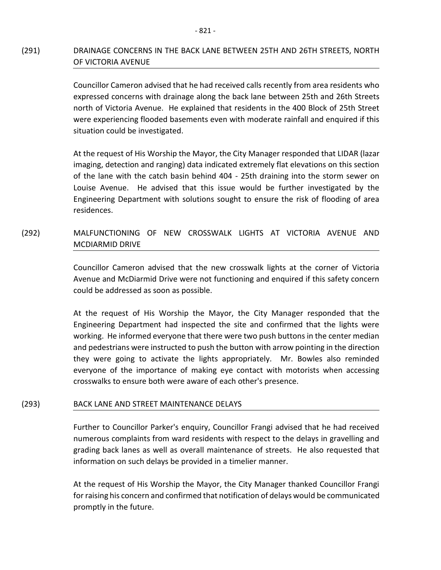# (291) DRAINAGE CONCERNS IN THE BACK LANE BETWEEN 25TH AND 26TH STREETS, NORTH OF VICTORIA AVENUE

Councillor Cameron advised that he had received calls recently from area residents who expressed concerns with drainage along the back lane between 25th and 26th Streets north of Victoria Avenue. He explained that residents in the 400 Block of 25th Street were experiencing flooded basements even with moderate rainfall and enquired if this situation could be investigated.

At the request of His Worship the Mayor, the City Manager responded that LIDAR (lazar imaging, detection and ranging) data indicated extremely flat elevations on this section of the lane with the catch basin behind 404 - 25th draining into the storm sewer on Louise Avenue. He advised that this issue would be further investigated by the Engineering Department with solutions sought to ensure the risk of flooding of area residences.

# (292) MALFUNCTIONING OF NEW CROSSWALK LIGHTS AT VICTORIA AVENUE AND MCDIARMID DRIVE

Councillor Cameron advised that the new crosswalk lights at the corner of Victoria Avenue and McDiarmid Drive were not functioning and enquired if this safety concern could be addressed as soon as possible.

At the request of His Worship the Mayor, the City Manager responded that the Engineering Department had inspected the site and confirmed that the lights were working. He informed everyone that there were two push buttons in the center median and pedestrians were instructed to push the button with arrow pointing in the direction they were going to activate the lights appropriately. Mr. Bowles also reminded everyone of the importance of making eye contact with motorists when accessing crosswalks to ensure both were aware of each other's presence.

## (293) BACK LANE AND STREET MAINTENANCE DELAYS

Further to Councillor Parker's enquiry, Councillor Frangi advised that he had received numerous complaints from ward residents with respect to the delays in gravelling and grading back lanes as well as overall maintenance of streets. He also requested that information on such delays be provided in a timelier manner.

At the request of His Worship the Mayor, the City Manager thanked Councillor Frangi for raising his concern and confirmed that notification of delays would be communicated promptly in the future.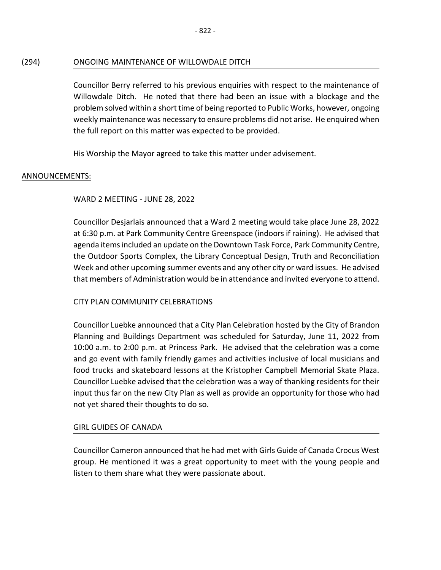# (294) ONGOING MAINTENANCE OF WILLOWDALE DITCH

Councillor Berry referred to his previous enquiries with respect to the maintenance of Willowdale Ditch. He noted that there had been an issue with a blockage and the problem solved within a short time of being reported to Public Works, however, ongoing weekly maintenance was necessary to ensure problems did not arise. He enquired when the full report on this matter was expected to be provided.

His Worship the Mayor agreed to take this matter under advisement.

# ANNOUNCEMENTS:

# WARD 2 MEETING - JUNE 28, 2022

Councillor Desjarlais announced that a Ward 2 meeting would take place June 28, 2022 at 6:30 p.m. at Park Community Centre Greenspace (indoors if raining). He advised that agenda items included an update on the Downtown Task Force, Park Community Centre, the Outdoor Sports Complex, the Library Conceptual Design, Truth and Reconciliation Week and other upcoming summer events and any other city or ward issues. He advised that members of Administration would be in attendance and invited everyone to attend.

# CITY PLAN COMMUNITY CELEBRATIONS

Councillor Luebke announced that a City Plan Celebration hosted by the City of Brandon Planning and Buildings Department was scheduled for Saturday, June 11, 2022 from 10:00 a.m. to 2:00 p.m. at Princess Park. He advised that the celebration was a come and go event with family friendly games and activities inclusive of local musicians and food trucks and skateboard lessons at the Kristopher Campbell Memorial Skate Plaza. Councillor Luebke advised that the celebration was a way of thanking residents for their input thus far on the new City Plan as well as provide an opportunity for those who had not yet shared their thoughts to do so.

# GIRL GUIDES OF CANADA

Councillor Cameron announced that he had met with Girls Guide of Canada Crocus West group. He mentioned it was a great opportunity to meet with the young people and listen to them share what they were passionate about.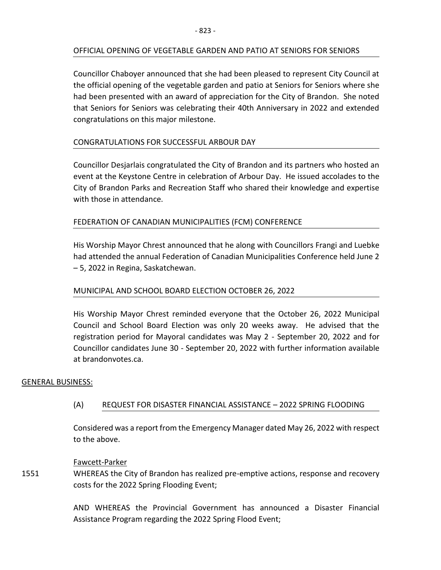## OFFICIAL OPENING OF VEGETABLE GARDEN AND PATIO AT SENIORS FOR SENIORS

Councillor Chaboyer announced that she had been pleased to represent City Council at the official opening of the vegetable garden and patio at Seniors for Seniors where she had been presented with an award of appreciation for the City of Brandon. She noted that Seniors for Seniors was celebrating their 40th Anniversary in 2022 and extended congratulations on this major milestone.

## CONGRATULATIONS FOR SUCCESSFUL ARBOUR DAY

Councillor Desjarlais congratulated the City of Brandon and its partners who hosted an event at the Keystone Centre in celebration of Arbour Day. He issued accolades to the City of Brandon Parks and Recreation Staff who shared their knowledge and expertise with those in attendance.

## FEDERATION OF CANADIAN MUNICIPALITIES (FCM) CONFERENCE

His Worship Mayor Chrest announced that he along with Councillors Frangi and Luebke had attended the annual Federation of Canadian Municipalities Conference held June 2 – 5, 2022 in Regina, Saskatchewan.

## MUNICIPAL AND SCHOOL BOARD ELECTION OCTOBER 26, 2022

His Worship Mayor Chrest reminded everyone that the October 26, 2022 Municipal Council and School Board Election was only 20 weeks away. He advised that the registration period for Mayoral candidates was May 2 - September 20, 2022 and for Councillor candidates June 30 - September 20, 2022 with further information available at brandonvotes.ca.

## GENERAL BUSINESS:

## (A) REQUEST FOR DISASTER FINANCIAL ASSISTANCE – 2022 SPRING FLOODING

Considered was a report from the Emergency Manager dated May 26, 2022 with respect to the above.

## Fawcett-Parker

1551 WHEREAS the City of Brandon has realized pre-emptive actions, response and recovery costs for the 2022 Spring Flooding Event;

> AND WHEREAS the Provincial Government has announced a Disaster Financial Assistance Program regarding the 2022 Spring Flood Event;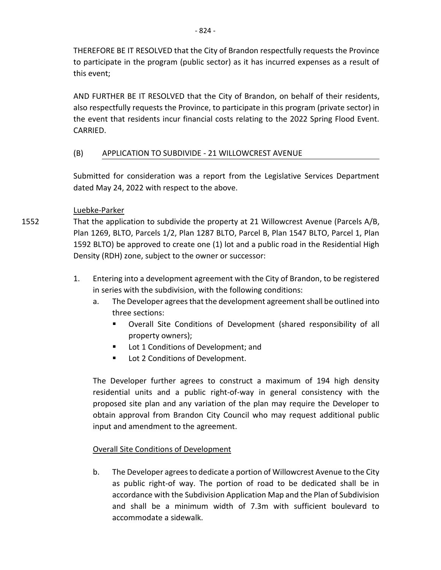THEREFORE BE IT RESOLVED that the City of Brandon respectfully requests the Province to participate in the program (public sector) as it has incurred expenses as a result of this event;

AND FURTHER BE IT RESOLVED that the City of Brandon, on behalf of their residents, also respectfully requests the Province, to participate in this program (private sector) in the event that residents incur financial costs relating to the 2022 Spring Flood Event. CARRIED.

# (B) APPLICATION TO SUBDIVIDE - 21 WILLOWCREST AVENUE

Submitted for consideration was a report from the Legislative Services Department dated May 24, 2022 with respect to the above.

## Luebke-Parker

1552

That the application to subdivide the property at 21 Willowcrest Avenue (Parcels A/B, Plan 1269, BLTO, Parcels 1/2, Plan 1287 BLTO, Parcel B, Plan 1547 BLTO, Parcel 1, Plan 1592 BLTO) be approved to create one (1) lot and a public road in the Residential High Density (RDH) zone, subject to the owner or successor:

- 1. Entering into a development agreement with the City of Brandon, to be registered in series with the subdivision, with the following conditions:
	- a. The Developer agrees that the development agreement shall be outlined into three sections:
		- Overall Site Conditions of Development (shared responsibility of all property owners);
		- Lot 1 Conditions of Development; and
		- **Lot 2 Conditions of Development.**

The Developer further agrees to construct a maximum of 194 high density residential units and a public right-of-way in general consistency with the proposed site plan and any variation of the plan may require the Developer to obtain approval from Brandon City Council who may request additional public input and amendment to the agreement.

# Overall Site Conditions of Development

b. The Developer agrees to dedicate a portion of Willowcrest Avenue to the City as public right-of way. The portion of road to be dedicated shall be in accordance with the Subdivision Application Map and the Plan of Subdivision and shall be a minimum width of 7.3m with sufficient boulevard to accommodate a sidewalk.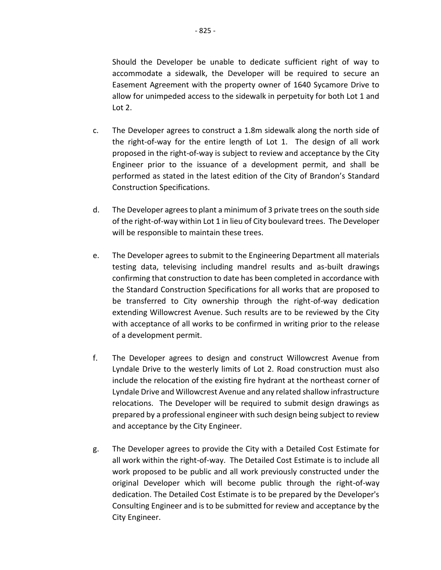- 825 -

Should the Developer be unable to dedicate sufficient right of way to accommodate a sidewalk, the Developer will be required to secure an Easement Agreement with the property owner of 1640 Sycamore Drive to allow for unimpeded access to the sidewalk in perpetuity for both Lot 1 and Lot 2.

- c. The Developer agrees to construct a 1.8m sidewalk along the north side of the right-of-way for the entire length of Lot 1. The design of all work proposed in the right-of-way is subject to review and acceptance by the City Engineer prior to the issuance of a development permit, and shall be performed as stated in the latest edition of the City of Brandon's Standard Construction Specifications.
- d. The Developer agrees to plant a minimum of 3 private trees on the south side of the right-of-way within Lot 1 in lieu of City boulevard trees. The Developer will be responsible to maintain these trees.
- e. The Developer agrees to submit to the Engineering Department all materials testing data, televising including mandrel results and as-built drawings confirming that construction to date has been completed in accordance with the Standard Construction Specifications for all works that are proposed to be transferred to City ownership through the right-of-way dedication extending Willowcrest Avenue. Such results are to be reviewed by the City with acceptance of all works to be confirmed in writing prior to the release of a development permit.
- f. The Developer agrees to design and construct Willowcrest Avenue from Lyndale Drive to the westerly limits of Lot 2. Road construction must also include the relocation of the existing fire hydrant at the northeast corner of Lyndale Drive and Willowcrest Avenue and any related shallow infrastructure relocations. The Developer will be required to submit design drawings as prepared by a professional engineer with such design being subject to review and acceptance by the City Engineer.
- g. The Developer agrees to provide the City with a Detailed Cost Estimate for all work within the right-of-way. The Detailed Cost Estimate is to include all work proposed to be public and all work previously constructed under the original Developer which will become public through the right-of-way dedication. The Detailed Cost Estimate is to be prepared by the Developer's Consulting Engineer and is to be submitted for review and acceptance by the City Engineer.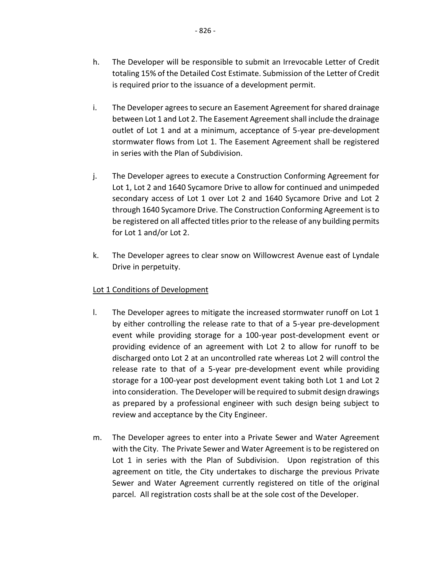- h. The Developer will be responsible to submit an Irrevocable Letter of Credit totaling 15% of the Detailed Cost Estimate. Submission of the Letter of Credit is required prior to the issuance of a development permit.
- i. The Developer agrees to secure an Easement Agreement for shared drainage between Lot 1 and Lot 2. The Easement Agreement shall include the drainage outlet of Lot 1 and at a minimum, acceptance of 5-year pre-development stormwater flows from Lot 1. The Easement Agreement shall be registered in series with the Plan of Subdivision.
- j. The Developer agrees to execute a Construction Conforming Agreement for Lot 1, Lot 2 and 1640 Sycamore Drive to allow for continued and unimpeded secondary access of Lot 1 over Lot 2 and 1640 Sycamore Drive and Lot 2 through 1640 Sycamore Drive. The Construction Conforming Agreement is to be registered on all affected titles prior to the release of any building permits for Lot 1 and/or Lot 2.
- k. The Developer agrees to clear snow on Willowcrest Avenue east of Lyndale Drive in perpetuity.

## Lot 1 Conditions of Development

- l. The Developer agrees to mitigate the increased stormwater runoff on Lot 1 by either controlling the release rate to that of a 5-year pre-development event while providing storage for a 100-year post-development event or providing evidence of an agreement with Lot 2 to allow for runoff to be discharged onto Lot 2 at an uncontrolled rate whereas Lot 2 will control the release rate to that of a 5-year pre-development event while providing storage for a 100-year post development event taking both Lot 1 and Lot 2 into consideration. The Developer will be required to submit design drawings as prepared by a professional engineer with such design being subject to review and acceptance by the City Engineer.
- m. The Developer agrees to enter into a Private Sewer and Water Agreement with the City. The Private Sewer and Water Agreement is to be registered on Lot 1 in series with the Plan of Subdivision. Upon registration of this agreement on title, the City undertakes to discharge the previous Private Sewer and Water Agreement currently registered on title of the original parcel. All registration costs shall be at the sole cost of the Developer.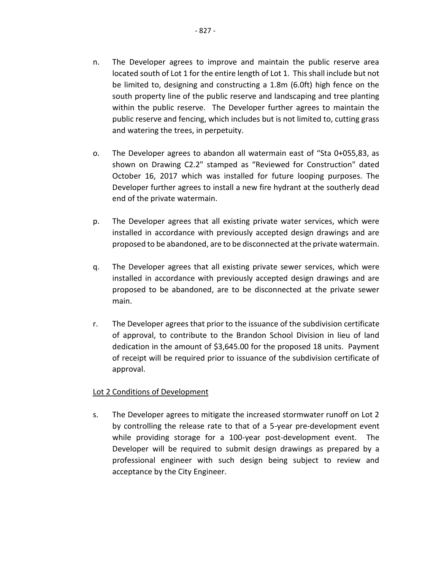- n. The Developer agrees to improve and maintain the public reserve area located south of Lot 1 for the entire length of Lot 1. This shall include but not be limited to, designing and constructing a 1.8m (6.0ft) high fence on the south property line of the public reserve and landscaping and tree planting within the public reserve. The Developer further agrees to maintain the public reserve and fencing, which includes but is not limited to, cutting grass and watering the trees, in perpetuity.
- o. The Developer agrees to abandon all watermain east of "Sta 0+055,83, as shown on Drawing C2.2" stamped as "Reviewed for Construction" dated October 16, 2017 which was installed for future looping purposes. The Developer further agrees to install a new fire hydrant at the southerly dead end of the private watermain.
- p. The Developer agrees that all existing private water services, which were installed in accordance with previously accepted design drawings and are proposed to be abandoned, are to be disconnected at the private watermain.
- q. The Developer agrees that all existing private sewer services, which were installed in accordance with previously accepted design drawings and are proposed to be abandoned, are to be disconnected at the private sewer main.
- r. The Developer agrees that prior to the issuance of the subdivision certificate of approval, to contribute to the Brandon School Division in lieu of land dedication in the amount of \$3,645.00 for the proposed 18 units. Payment of receipt will be required prior to issuance of the subdivision certificate of approval.

## Lot 2 Conditions of Development

s. The Developer agrees to mitigate the increased stormwater runoff on Lot 2 by controlling the release rate to that of a 5-year pre-development event while providing storage for a 100-year post-development event. The Developer will be required to submit design drawings as prepared by a professional engineer with such design being subject to review and acceptance by the City Engineer.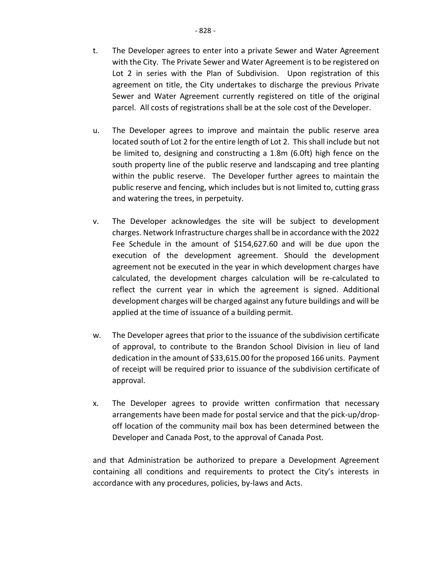- t. The Developer agrees to enter into a private Sewer and Water Agreement with the City. The Private Sewer and Water Agreement is to be registered on Lot 2 in series with the Plan of Subdivision. Upon registration of this agreement on title, the City undertakes to discharge the previous Private Sewer and Water Agreement currently registered on title of the original parcel. All costs of registrations shall be at the sole cost of the Developer.
- u. The Developer agrees to improve and maintain the public reserve area located south of Lot 2 for the entire length of Lot 2. This shall include but not be limited to, designing and constructing a 1.8m (6.0ft) high fence on the south property line of the public reserve and landscaping and tree planting within the public reserve. The Developer further agrees to maintain the public reserve and fencing, which includes but is not limited to, cutting grass and watering the trees, in perpetuity.
- v. The Developer acknowledges the site will be subject to development charges. Network Infrastructure charges shall be in accordance with the 2022 Fee Schedule in the amount of \$154,627.60 and will be due upon the execution of the development agreement. Should the development agreement not be executed in the year in which development charges have calculated, the development charges calculation will be re-calculated to reflect the current year in which the agreement is signed. Additional development charges will be charged against any future buildings and will be applied at the time of issuance of a building permit.
- w. The Developer agrees that prior to the issuance of the subdivision certificate of approval, to contribute to the Brandon School Division in lieu of land dedication in the amount of \$33,615.00 for the proposed 166 units. Payment of receipt will be required prior to issuance of the subdivision certificate of approval.
- x. The Developer agrees to provide written confirmation that necessary arrangements have been made for postal service and that the pick-up/dropoff location of the community mail box has been determined between the Developer and Canada Post, to the approval of Canada Post.

and that Administration be authorized to prepare a Development Agreement containing all conditions and requirements to protect the City's interests in accordance with any procedures, policies, by-laws and Acts.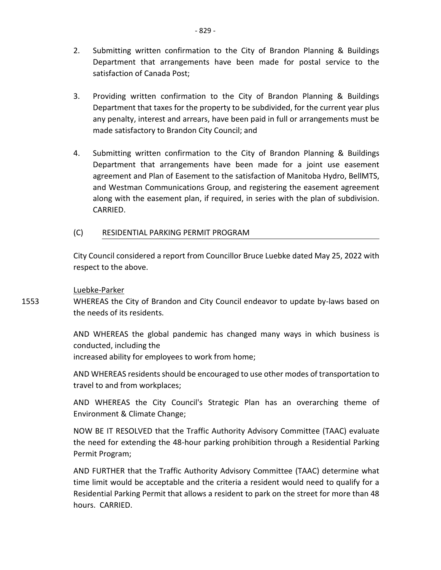- 2. Submitting written confirmation to the City of Brandon Planning & Buildings Department that arrangements have been made for postal service to the satisfaction of Canada Post;
- 3. Providing written confirmation to the City of Brandon Planning & Buildings Department that taxes for the property to be subdivided, for the current year plus any penalty, interest and arrears, have been paid in full or arrangements must be made satisfactory to Brandon City Council; and
- 4. Submitting written confirmation to the City of Brandon Planning & Buildings Department that arrangements have been made for a joint use easement agreement and Plan of Easement to the satisfaction of Manitoba Hydro, BellMTS, and Westman Communications Group, and registering the easement agreement along with the easement plan, if required, in series with the plan of subdivision. CARRIED.
- (C) RESIDENTIAL PARKING PERMIT PROGRAM

City Council considered a report from Councillor Bruce Luebke dated May 25, 2022 with respect to the above.

## Luebke-Parker

1553 WHEREAS the City of Brandon and City Council endeavor to update by-laws based on the needs of its residents.

> AND WHEREAS the global pandemic has changed many ways in which business is conducted, including the increased ability for employees to work from home;

> AND WHEREAS residents should be encouraged to use other modes of transportation to travel to and from workplaces;

> AND WHEREAS the City Council's Strategic Plan has an overarching theme of Environment & Climate Change;

> NOW BE IT RESOLVED that the Traffic Authority Advisory Committee (TAAC) evaluate the need for extending the 48-hour parking prohibition through a Residential Parking Permit Program;

> AND FURTHER that the Traffic Authority Advisory Committee (TAAC) determine what time limit would be acceptable and the criteria a resident would need to qualify for a Residential Parking Permit that allows a resident to park on the street for more than 48 hours. CARRIED.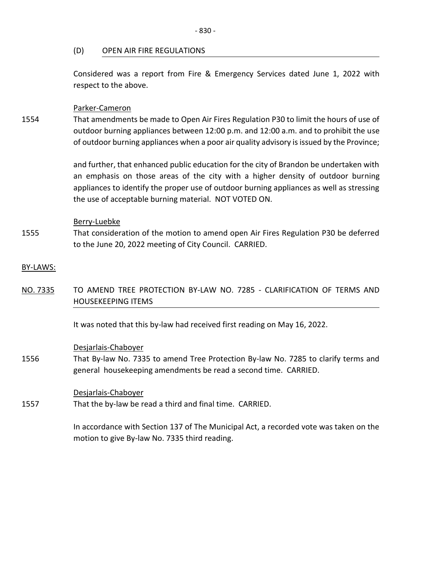### (D) OPEN AIR FIRE REGULATIONS

Considered was a report from Fire & Emergency Services dated June 1, 2022 with respect to the above.

### Parker-Cameron

1554 That amendments be made to Open Air Fires Regulation P30 to limit the hours of use of outdoor burning appliances between 12:00 p.m. and 12:00 a.m. and to prohibit the use of outdoor burning appliances when a poor air quality advisory is issued by the Province;

> and further, that enhanced public education for the city of Brandon be undertaken with an emphasis on those areas of the city with a higher density of outdoor burning appliances to identify the proper use of outdoor burning appliances as well as stressing the use of acceptable burning material. NOT VOTED ON.

### Berry-Luebke

1555 That consideration of the motion to amend open Air Fires Regulation P30 be deferred to the June 20, 2022 meeting of City Council. CARRIED.

## BY-LAWS:

NO. 7335 TO AMEND TREE PROTECTION BY-LAW NO. 7285 - CLARIFICATION OF TERMS AND HOUSEKEEPING ITEMS

It was noted that this by-law had received first reading on May 16, 2022.

### Desjarlais-Chaboyer

1556 That By-law No. 7335 to amend Tree Protection By-law No. 7285 to clarify terms and general housekeeping amendments be read a second time. CARRIED.

Desjarlais-Chaboyer

1557 That the by-law be read a third and final time. CARRIED.

> In accordance with Section 137 of The Municipal Act, a recorded vote was taken on the motion to give By-law No. 7335 third reading.